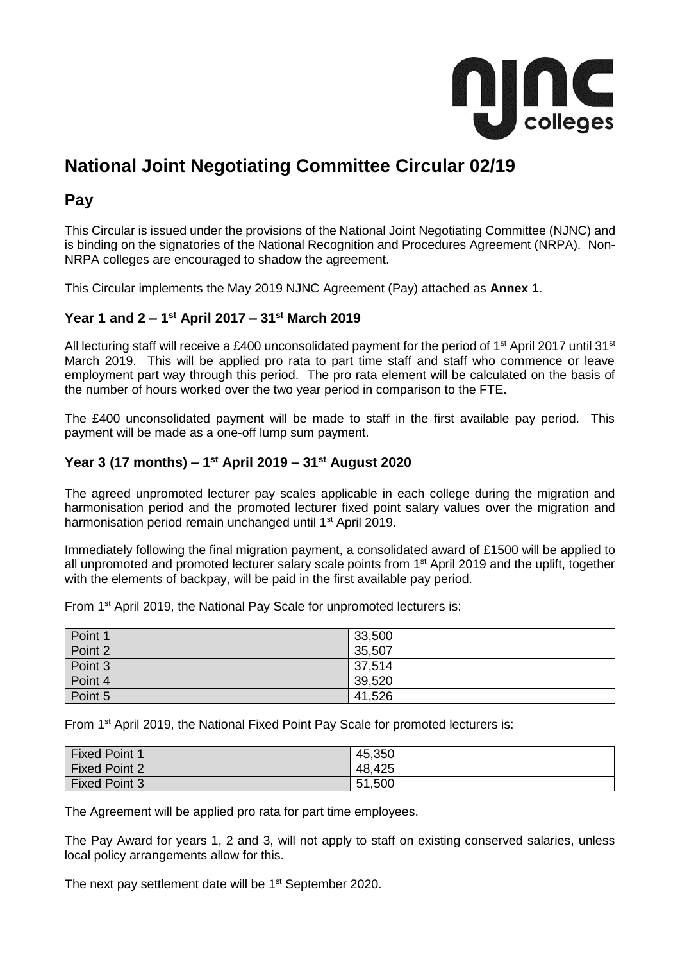

# **National Joint Negotiating Committee Circular 02/19**

### **Pay**

This Circular is issued under the provisions of the National Joint Negotiating Committee (NJNC) and is binding on the signatories of the National Recognition and Procedures Agreement (NRPA). Non-NRPA colleges are encouraged to shadow the agreement.

This Circular implements the May 2019 NJNC Agreement (Pay) attached as **Annex 1**.

#### **Year 1 and 2 – 1 st April 2017 – 31st March 2019**

All lecturing staff will receive a £400 unconsolidated payment for the period of 1<sup>st</sup> April 2017 until 31<sup>st</sup> March 2019. This will be applied pro rata to part time staff and staff who commence or leave employment part way through this period. The pro rata element will be calculated on the basis of the number of hours worked over the two year period in comparison to the FTE.

The £400 unconsolidated payment will be made to staff in the first available pay period. This payment will be made as a one-off lump sum payment.

#### **Year 3 (17 months) – 1 st April 2019 – 31st August 2020**

The agreed unpromoted lecturer pay scales applicable in each college during the migration and harmonisation period and the promoted lecturer fixed point salary values over the migration and harmonisation period remain unchanged until 1<sup>st</sup> April 2019.

Immediately following the final migration payment, a consolidated award of £1500 will be applied to all unpromoted and promoted lecturer salary scale points from 1<sup>st</sup> April 2019 and the uplift, together with the elements of backpay, will be paid in the first available pay period.

From 1st April 2019, the National Pay Scale for unpromoted lecturers is:

| Point 1 | 33,500 |
|---------|--------|
| Point 2 | 35,507 |
| Point 3 | 37,514 |
| Point 4 | 39,520 |
| Point 5 | 41,526 |

From 1st April 2019, the National Fixed Point Pay Scale for promoted lecturers is:

| <b>Fixed Point 1</b> | 45,350 |
|----------------------|--------|
| <b>Fixed Point 2</b> | 48,425 |
| <b>Fixed Point 3</b> | 51,500 |

The Agreement will be applied pro rata for part time employees.

The Pay Award for years 1, 2 and 3, will not apply to staff on existing conserved salaries, unless local policy arrangements allow for this.

The next pay settlement date will be 1<sup>st</sup> September 2020.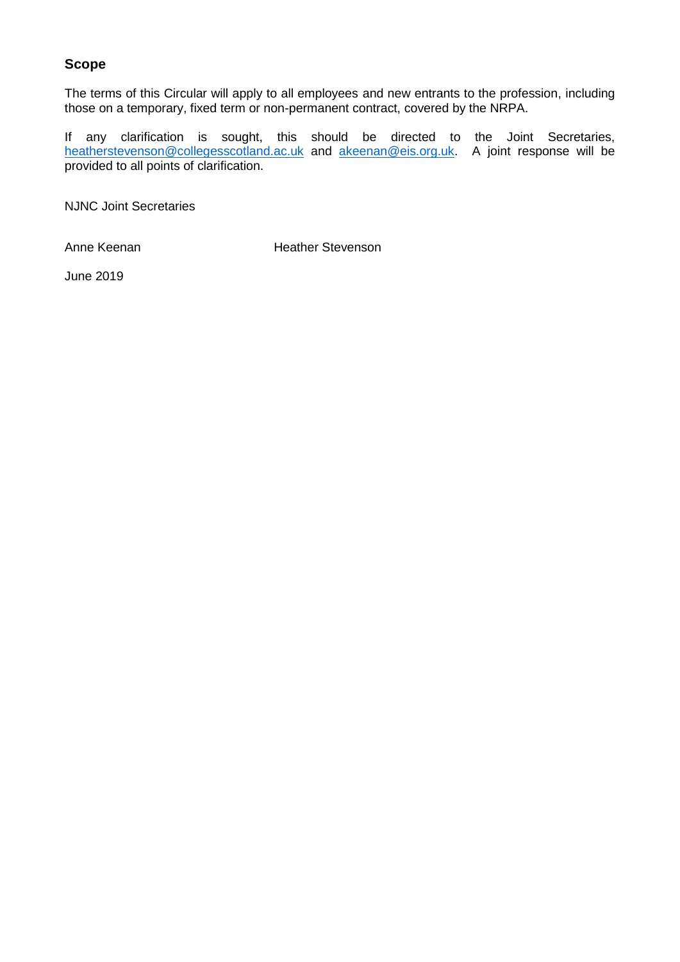#### **Scope**

The terms of this Circular will apply to all employees and new entrants to the profession, including those on a temporary, fixed term or non-permanent contract, covered by the NRPA.

If any clarification is sought, this should be directed to the Joint Secretaries, [heatherstevenson@collegesscotland.ac.uk](mailto:heatherstevenson@coleggesscotland.ac.uk) and [akeenan@eis.org.uk.](mailto:akeenan@eis.org.uk) A joint response will be provided to all points of clarification.

NJNC Joint Secretaries

Anne Keenan **Heather Stevenson** 

June 2019